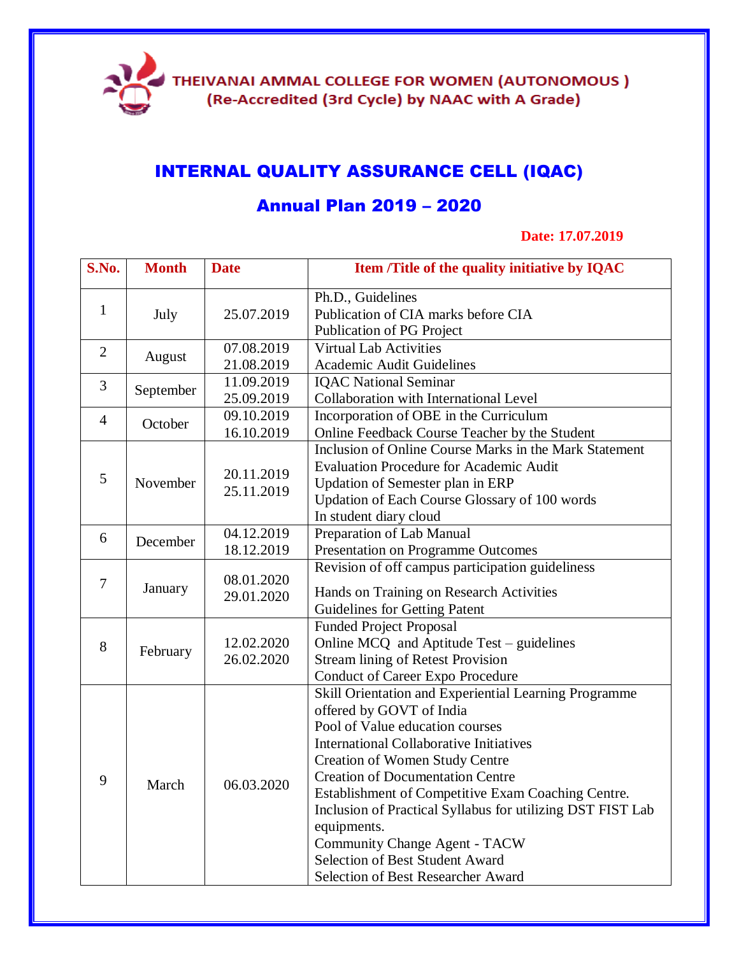

# INTERNAL QUALITY ASSURANCE CELL (IQAC)

# Annual Plan 2019 – 2020

### **Date: 17.07.2019**

| S.No.          | <b>Month</b> | <b>Date</b>              | Item /Title of the quality initiative by IQAC                                                                                                                                                                                                                                                                                                                                                                                                                                                                  |
|----------------|--------------|--------------------------|----------------------------------------------------------------------------------------------------------------------------------------------------------------------------------------------------------------------------------------------------------------------------------------------------------------------------------------------------------------------------------------------------------------------------------------------------------------------------------------------------------------|
| $\mathbf{1}$   | July         | 25.07.2019               | Ph.D., Guidelines<br>Publication of CIA marks before CIA<br>Publication of PG Project                                                                                                                                                                                                                                                                                                                                                                                                                          |
| $\overline{2}$ | August       | 07.08.2019<br>21.08.2019 | <b>Virtual Lab Activities</b><br>Academic Audit Guidelines                                                                                                                                                                                                                                                                                                                                                                                                                                                     |
| 3              | September    | 11.09.2019<br>25.09.2019 | <b>IQAC National Seminar</b><br>Collaboration with International Level                                                                                                                                                                                                                                                                                                                                                                                                                                         |
| $\overline{4}$ | October      | 09.10.2019<br>16.10.2019 | Incorporation of OBE in the Curriculum<br>Online Feedback Course Teacher by the Student                                                                                                                                                                                                                                                                                                                                                                                                                        |
| 5              | November     | 20.11.2019<br>25.11.2019 | Inclusion of Online Course Marks in the Mark Statement<br><b>Evaluation Procedure for Academic Audit</b><br>Updation of Semester plan in ERP<br>Updation of Each Course Glossary of 100 words<br>In student diary cloud                                                                                                                                                                                                                                                                                        |
| 6              | December     | 04.12.2019<br>18.12.2019 | Preparation of Lab Manual<br>Presentation on Programme Outcomes                                                                                                                                                                                                                                                                                                                                                                                                                                                |
| 7              | January      | 08.01.2020<br>29.01.2020 | Revision of off campus participation guideliness<br>Hands on Training on Research Activities<br><b>Guidelines for Getting Patent</b>                                                                                                                                                                                                                                                                                                                                                                           |
| 8              | February     | 12.02.2020<br>26.02.2020 | <b>Funded Project Proposal</b><br>Online MCQ and Aptitude Test – guidelines<br><b>Stream lining of Retest Provision</b><br><b>Conduct of Career Expo Procedure</b>                                                                                                                                                                                                                                                                                                                                             |
| 9              | March        | 06.03.2020               | Skill Orientation and Experiential Learning Programme<br>offered by GOVT of India<br>Pool of Value education courses<br><b>International Collaborative Initiatives</b><br><b>Creation of Women Study Centre</b><br><b>Creation of Documentation Centre</b><br>Establishment of Competitive Exam Coaching Centre.<br>Inclusion of Practical Syllabus for utilizing DST FIST Lab<br>equipments.<br><b>Community Change Agent - TACW</b><br>Selection of Best Student Award<br>Selection of Best Researcher Award |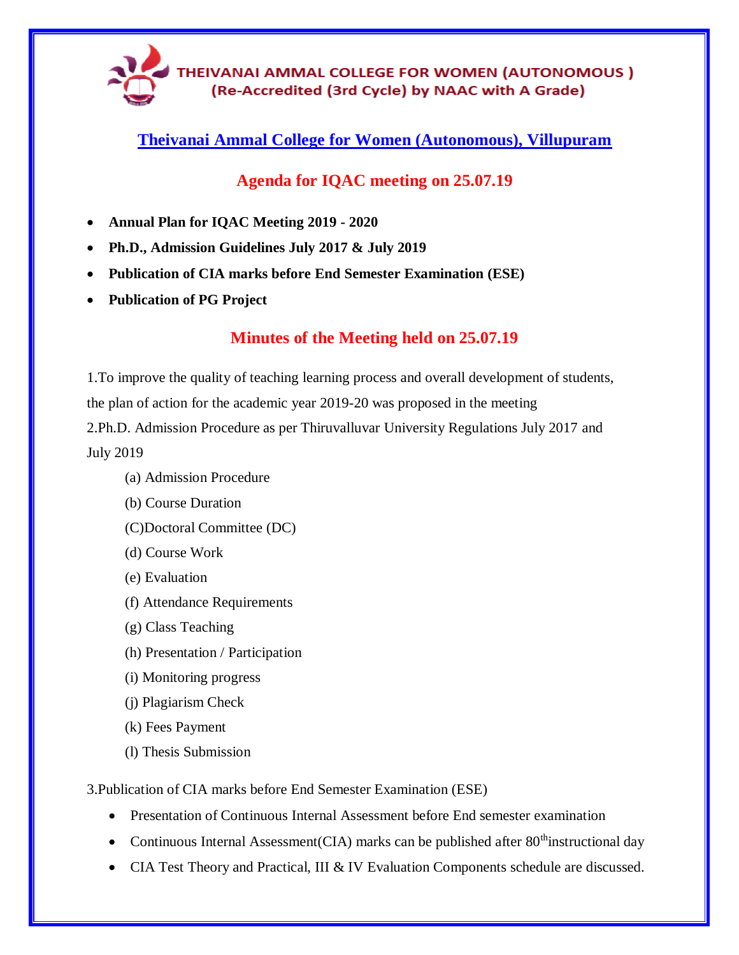

**Theivanai Ammal College for Women (Autonomous), Villupuram**

# **Agenda for IQAC meeting on 25.07.19**

- **Annual Plan for IQAC Meeting 2019 - 2020**
- **Ph.D., Admission Guidelines July 2017 & July 2019**
- **Publication of CIA marks before End Semester Examination (ESE)**
- **Publication of PG Project**

# **Minutes of the Meeting held on 25.07.19**

1.To improve the quality of teaching learning process and overall development of students, the plan of action for the academic year 2019-20 was proposed in the meeting 2.Ph.D. Admission Procedure as per Thiruvalluvar University Regulations July 2017 and July 2019

- (a) Admission Procedure
- (b) Course Duration
- (C)Doctoral Committee (DC)
- (d) Course Work
- (e) Evaluation
- (f) Attendance Requirements
- (g) Class Teaching
- (h) Presentation / Participation
- (i) Monitoring progress
- (j) Plagiarism Check
- (k) Fees Payment
- (l) Thesis Submission
- 3.Publication of CIA marks before End Semester Examination (ESE)
	- Presentation of Continuous Internal Assessment before End semester examination
	- Continuous Internal Assessment (CIA) marks can be published after  $80<sup>th</sup>$  instructional day
	- CIA Test Theory and Practical, III & IV Evaluation Components schedule are discussed.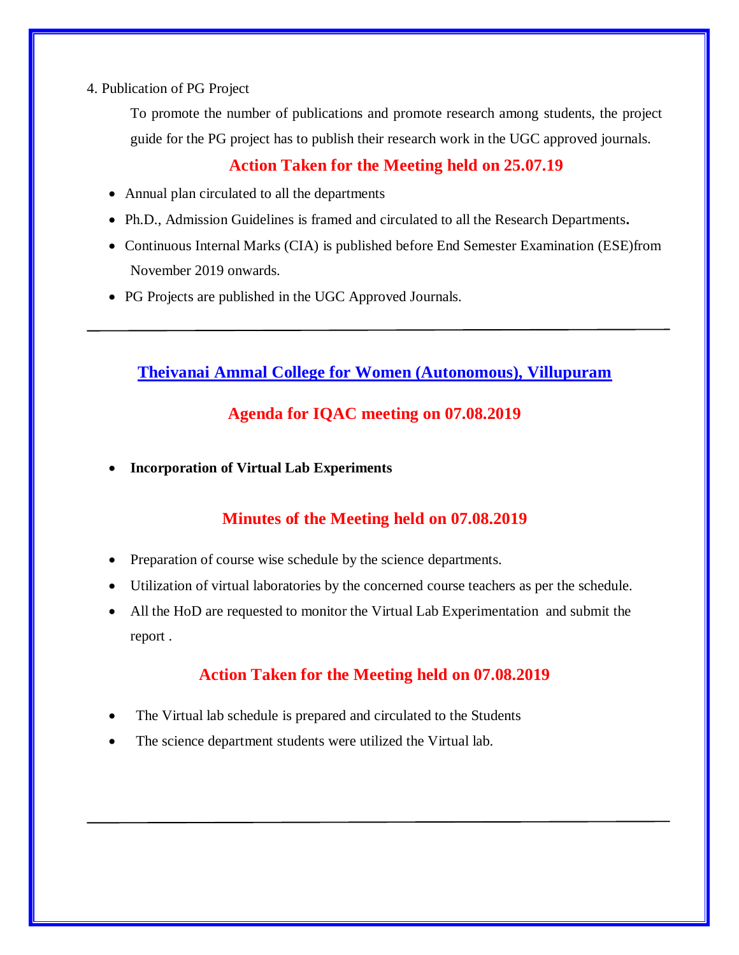4. Publication of PG Project

To promote the number of publications and promote research among students, the project guide for the PG project has to publish their research work in the UGC approved journals.

# **Action Taken for the Meeting held on 25.07.19**

- Annual plan circulated to all the departments
- Ph.D., Admission Guidelines is framed and circulated to all the Research Departments**.**
- Continuous Internal Marks (CIA) is published before End Semester Examination (ESE)from November 2019 onwards.
- PG Projects are published in the UGC Approved Journals.

**Theivanai Ammal College for Women (Autonomous), Villupuram**

## **Agenda for IQAC meeting on 07.08.2019**

**Incorporation of Virtual Lab Experiments** 

# **Minutes of the Meeting held on 07.08.2019**

- Preparation of course wise schedule by the science departments.
- Utilization of virtual laboratories by the concerned course teachers as per the schedule.
- All the HoD are requested to monitor the Virtual Lab Experimentation and submit the report .

# **Action Taken for the Meeting held on 07.08.2019**

- The Virtual lab schedule is prepared and circulated to the Students
- The science department students were utilized the Virtual lab.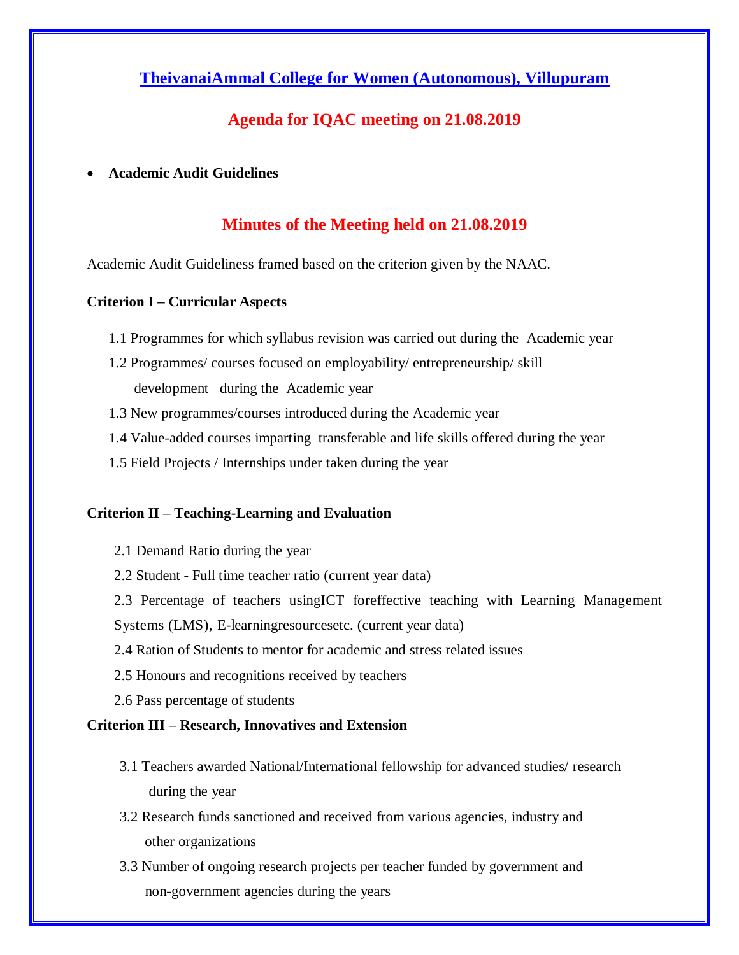## **TheivanaiAmmal College for Women (Autonomous), Villupuram**

### **Agenda for IQAC meeting on 21.08.2019**

**Academic Audit Guidelines**

### **Minutes of the Meeting held on 21.08.2019**

Academic Audit Guideliness framed based on the criterion given by the NAAC.

#### **Criterion I – Curricular Aspects**

- 1.1 Programmes for which syllabus revision was carried out during the Academic year
- 1.2 Programmes/ courses focused on employability/ entrepreneurship/ skill development during the Academic year
- 1.3 New programmes/courses introduced during the Academic year
- 1.4 Value-added courses imparting transferable and life skills offered during the year
- 1.5 Field Projects / Internships under taken during the year

#### **Criterion II – Teaching-Learning and Evaluation**

- 2.1 Demand Ratio during the year
- 2.2 Student Full time teacher ratio (current year data)
- 2.3 Percentage of teachers usingICT foreffective teaching with Learning Management Systems (LMS), E-learningresourcesetc. (current year data)
- 2.4 Ration of Students to mentor for academic and stress related issues
- 2.5 Honours and recognitions received by teachers
- 2.6 Pass percentage of students

#### **Criterion III – Research, Innovatives and Extension**

- 3.1 Teachers awarded National/International fellowship for advanced studies/ research during the year
- 3.2 Research funds sanctioned and received from various agencies, industry and other organizations
- 3.3 Number of ongoing research projects per teacher funded by government and non-government agencies during the years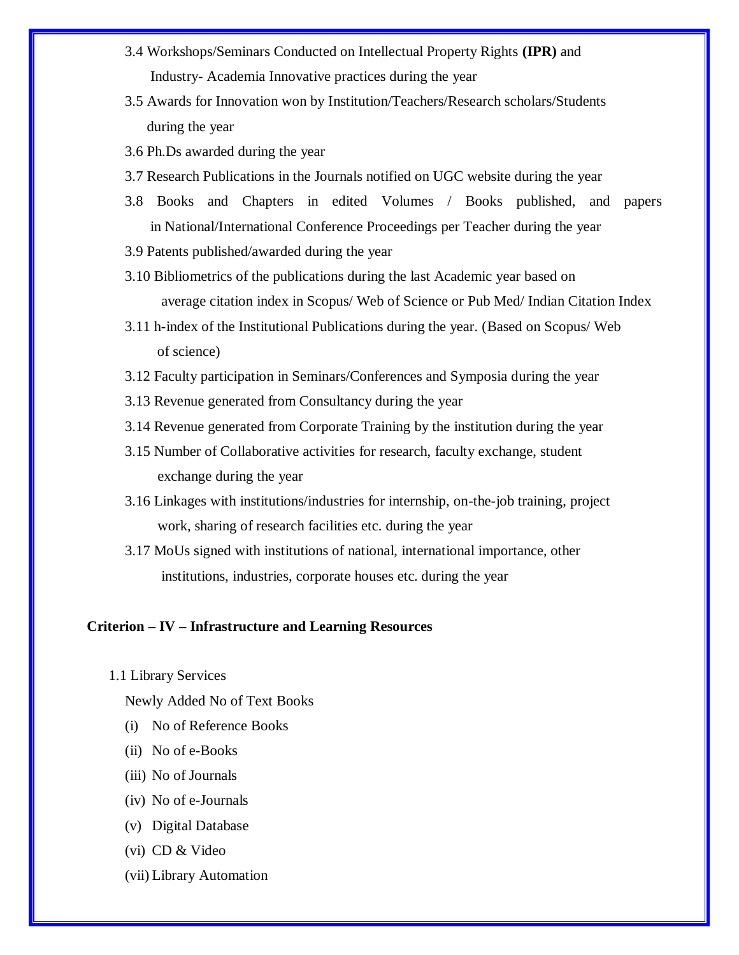- 3.4 Workshops/Seminars Conducted on Intellectual Property Rights **(IPR)** and Industry- Academia Innovative practices during the year
- 3.5 Awards for Innovation won by Institution/Teachers/Research scholars/Students during the year
- 3.6 Ph.Ds awarded during the year
- 3.7 Research Publications in the Journals notified on UGC website during the year
- 3.8 Books and Chapters in edited Volumes / Books published, and papers in National/International Conference Proceedings per Teacher during the year
- 3.9 Patents published/awarded during the year
- 3.10 Bibliometrics of the publications during the last Academic year based on average citation index in Scopus/ Web of Science or Pub Med/ Indian Citation Index
- 3.11 h-index of the Institutional Publications during the year. (Based on Scopus/ Web of science)
- 3.12 Faculty participation in Seminars/Conferences and Symposia during the year
- 3.13 Revenue generated from Consultancy during the year
- 3.14 Revenue generated from Corporate Training by the institution during the year
- 3.15 Number of Collaborative activities for research, faculty exchange, student exchange during the year
- 3.16 Linkages with institutions/industries for internship, on-the-job training, project work, sharing of research facilities etc. during the year
- 3.17 MoUs signed with institutions of national, international importance, other institutions, industries, corporate houses etc. during the year

#### **Criterion – IV – Infrastructure and Learning Resources**

1.1 Library Services

Newly Added No of Text Books

- (i) No of Reference Books
- (ii) No of e-Books
- (iii) No of Journals
- (iv) No of e-Journals
- (v) Digital Database
- (vi) CD & Video
- (vii) Library Automation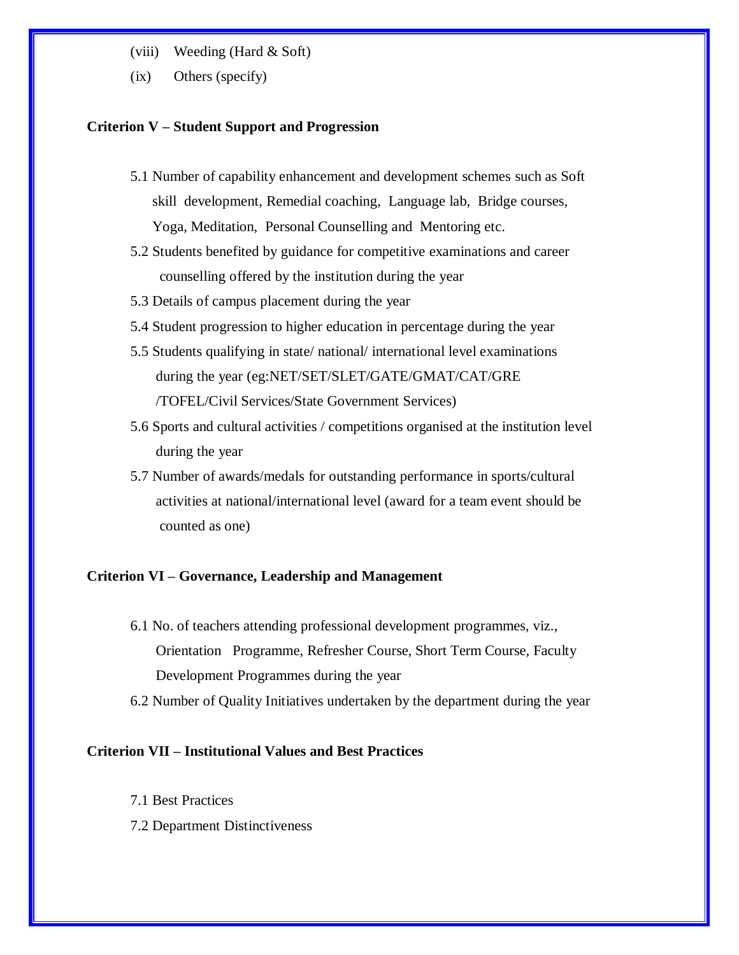- (viii) Weeding (Hard & Soft)
- (ix) Others (specify)

#### **Criterion V – Student Support and Progression**

- 5.1 Number of capability enhancement and development schemes such as Soft skill development, Remedial coaching, Language lab, Bridge courses, Yoga, Meditation, Personal Counselling and Mentoring etc.
- 5.2 Students benefited by guidance for competitive examinations and career counselling offered by the institution during the year
- 5.3 Details of campus placement during the year
- 5.4 Student progression to higher education in percentage during the year
- 5.5 Students qualifying in state/ national/ international level examinations during the year (eg:NET/SET/SLET/GATE/GMAT/CAT/GRE /TOFEL/Civil Services/State Government Services)
- 5.6 Sports and cultural activities / competitions organised at the institution level during the year
- 5.7 Number of awards/medals for outstanding performance in sports/cultural activities at national/international level (award for a team event should be counted as one)

#### **Criterion VI – Governance, Leadership and Management**

- 6.1 No. of teachers attending professional development programmes, viz., Orientation Programme, Refresher Course, Short Term Course, Faculty Development Programmes during the year
- 6.2 Number of Quality Initiatives undertaken by the department during the year

#### **Criterion VII – Institutional Values and Best Practices**

- 7.1 Best Practices
- 7.2 Department Distinctiveness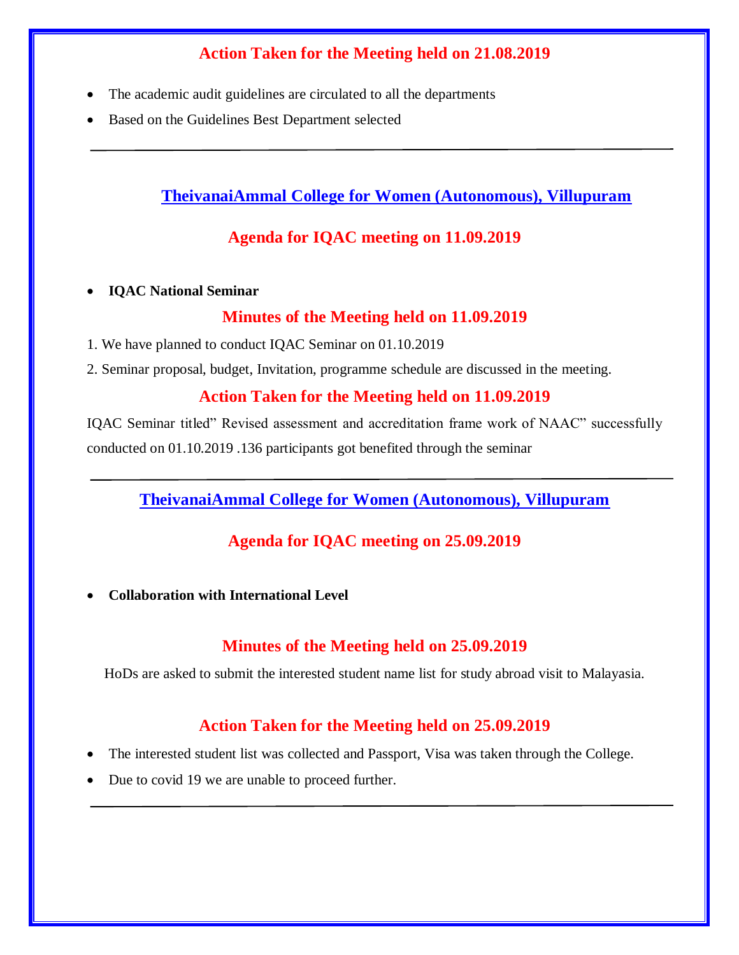# **Action Taken for the Meeting held on 21.08.2019**

- The academic audit guidelines are circulated to all the departments
- Based on the Guidelines Best Department selected

**TheivanaiAmmal College for Women (Autonomous), Villupuram**

# **Agenda for IQAC meeting on 11.09.2019**

**IQAC National Seminar**

### **Minutes of the Meeting held on 11.09.2019**

- 1. We have planned to conduct IQAC Seminar on 01.10.2019
- 2. Seminar proposal, budget, Invitation, programme schedule are discussed in the meeting.

## **Action Taken for the Meeting held on 11.09.2019**

IQAC Seminar titled" Revised assessment and accreditation frame work of NAAC" successfully conducted on 01.10.2019 .136 participants got benefited through the seminar

**TheivanaiAmmal College for Women (Autonomous), Villupuram**

# **Agenda for IQAC meeting on 25.09.2019**

**Collaboration with International Level**

# **Minutes of the Meeting held on 25.09.2019**

HoDs are asked to submit the interested student name list for study abroad visit to Malayasia.

# **Action Taken for the Meeting held on 25.09.2019**

- The interested student list was collected and Passport, Visa was taken through the College.
- Due to covid 19 we are unable to proceed further.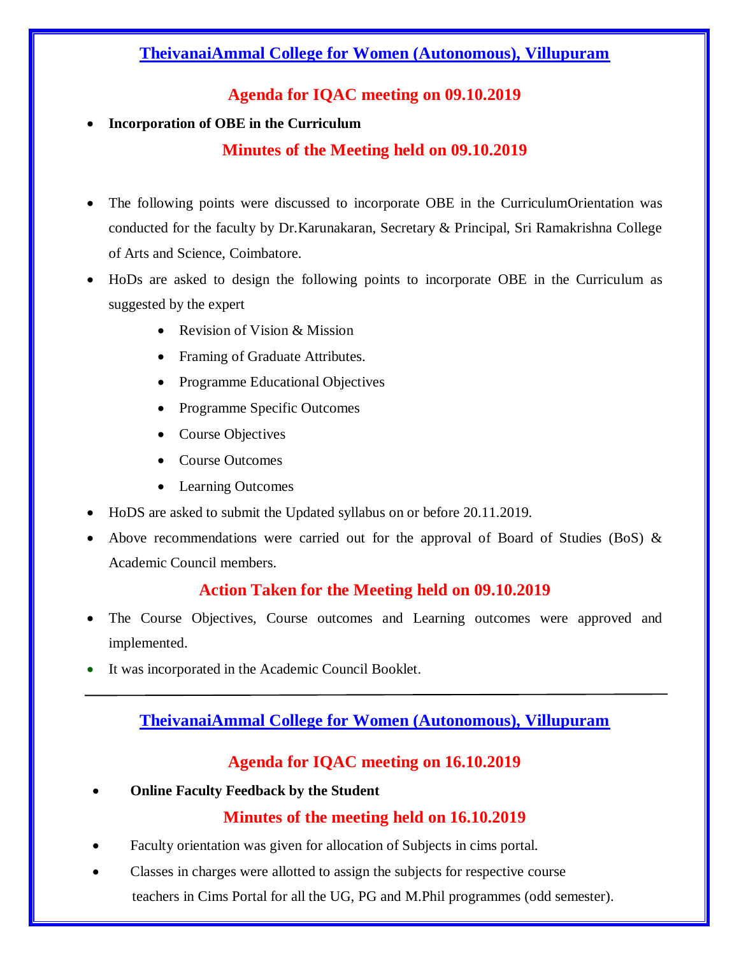# **TheivanaiAmmal College for Women (Autonomous), Villupuram**

# **Agenda for IQAC meeting on 09.10.2019**

### **Incorporation of OBE in the Curriculum**

# **Minutes of the Meeting held on 09.10.2019**

- The following points were discussed to incorporate OBE in the CurriculumOrientation was conducted for the faculty by Dr.Karunakaran, Secretary & Principal, Sri Ramakrishna College of Arts and Science, Coimbatore.
- HoDs are asked to design the following points to incorporate OBE in the Curriculum as suggested by the expert
	- Revision of Vision & Mission
	- Framing of Graduate Attributes.
	- Programme Educational Objectives
	- Programme Specific Outcomes
	- Course Objectives
	- Course Outcomes
	- Learning Outcomes
- HoDS are asked to submit the Updated syllabus on or before 20.11.2019.
- Above recommendations were carried out for the approval of Board of Studies (BoS)  $\&$ Academic Council members.

# **Action Taken for the Meeting held on 09.10.2019**

- The Course Objectives, Course outcomes and Learning outcomes were approved and implemented.
- It was incorporated in the Academic Council Booklet.

# **TheivanaiAmmal College for Women (Autonomous), Villupuram**

# **Agenda for IQAC meeting on 16.10.2019**

**Online Faculty Feedback by the Student**

# **Minutes of the meeting held on 16.10.2019**

- Faculty orientation was given for allocation of Subjects in cims portal.
- Classes in charges were allotted to assign the subjects for respective course teachers in Cims Portal for all the UG, PG and M.Phil programmes (odd semester).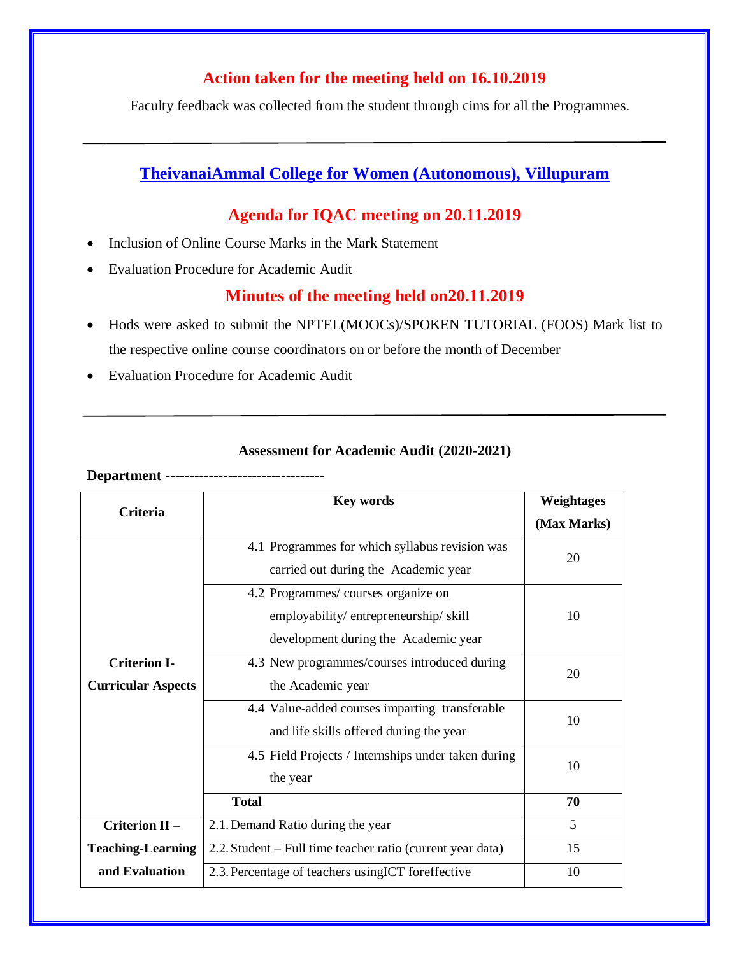# **Action taken for the meeting held on 16.10.2019**

Faculty feedback was collected from the student through cims for all the Programmes.

## **TheivanaiAmmal College for Women (Autonomous), Villupuram**

### **Agenda for IQAC meeting on 20.11.2019**

- Inclusion of Online Course Marks in the Mark Statement
- Evaluation Procedure for Academic Audit

### **Minutes of the meeting held on20.11.2019**

- Hods were asked to submit the NPTEL(MOOCs)/SPOKEN TUTORIAL (FOOS) Mark list to the respective online course coordinators on or before the month of December
- Evaluation Procedure for Academic Audit

#### **Assessment for Academic Audit (2020-2021)**

**Department ---------------------------------**

| <b>Criteria</b>           | Key words                                                  | <b>Weightages</b> |  |
|---------------------------|------------------------------------------------------------|-------------------|--|
|                           |                                                            | (Max Marks)       |  |
|                           | 4.1 Programmes for which syllabus revision was             | 20                |  |
|                           | carried out during the Academic year                       |                   |  |
|                           | 4.2 Programmes/courses organize on                         |                   |  |
|                           | employability/entrepreneurship/skill                       | 10                |  |
|                           | development during the Academic year                       |                   |  |
| <b>Criterion I-</b>       | 4.3 New programmes/courses introduced during               | 20                |  |
| <b>Curricular Aspects</b> | the Academic year                                          |                   |  |
|                           | 4.4 Value-added courses imparting transferable             | 10                |  |
|                           | and life skills offered during the year                    |                   |  |
|                           | 4.5 Field Projects / Internships under taken during        | 10                |  |
|                           | the year                                                   |                   |  |
|                           | <b>Total</b>                                               | 70                |  |
| Criterion II-             | 2.1. Demand Ratio during the year                          | 5                 |  |
| <b>Teaching-Learning</b>  | 2.2. Student – Full time teacher ratio (current year data) | 15                |  |
| and Evaluation            | 2.3. Percentage of teachers using ICT foreffective         | 10                |  |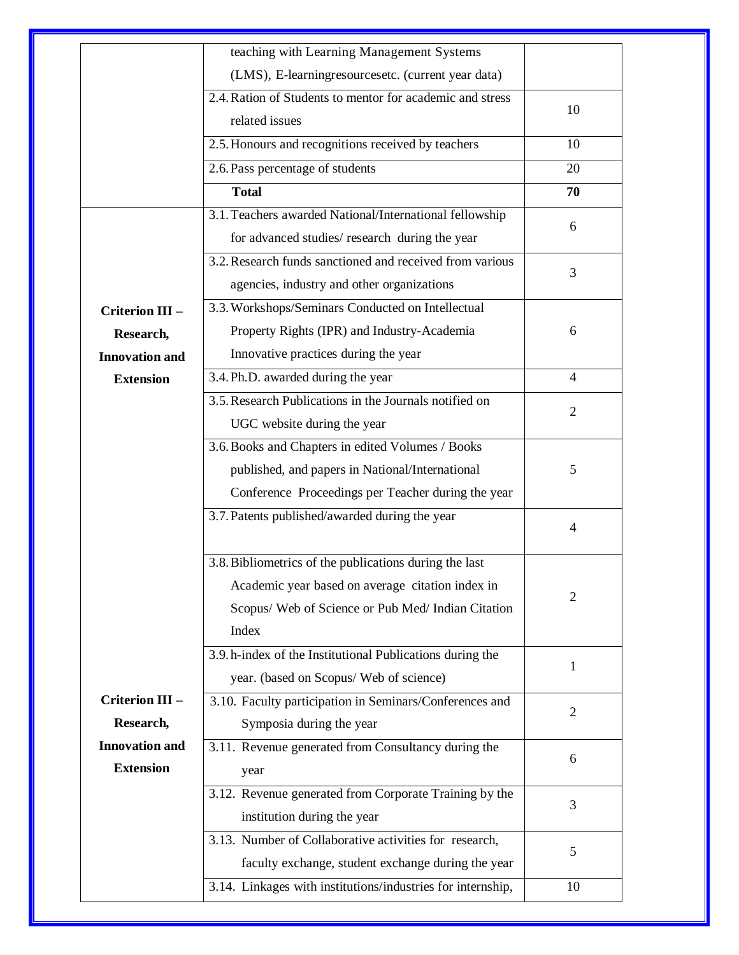|                        | teaching with Learning Management Systems                 |                |  |
|------------------------|-----------------------------------------------------------|----------------|--|
|                        | (LMS), E-learningresourcesetc. (current year data)        |                |  |
|                        | 2.4. Ration of Students to mentor for academic and stress | 10             |  |
|                        | related issues                                            |                |  |
|                        | 2.5. Honours and recognitions received by teachers        | 10             |  |
|                        | 2.6. Pass percentage of students                          | 20             |  |
|                        | <b>Total</b>                                              | 70             |  |
|                        | 3.1. Teachers awarded National/International fellowship   |                |  |
|                        | for advanced studies/ research during the year            | 6              |  |
|                        | 3.2. Research funds sanctioned and received from various  |                |  |
|                        | agencies, industry and other organizations                | 3              |  |
| <b>Criterion III -</b> | 3.3. Workshops/Seminars Conducted on Intellectual         |                |  |
| Research,              | Property Rights (IPR) and Industry-Academia               | 6              |  |
| <b>Innovation and</b>  | Innovative practices during the year                      |                |  |
| <b>Extension</b>       | 3.4. Ph.D. awarded during the year                        | 4              |  |
|                        | 3.5. Research Publications in the Journals notified on    |                |  |
|                        | UGC website during the year                               | $\overline{2}$ |  |
|                        | 3.6. Books and Chapters in edited Volumes / Books         |                |  |
|                        | published, and papers in National/International           | 5              |  |
|                        | Conference Proceedings per Teacher during the year        |                |  |
|                        | 3.7. Patents published/awarded during the year            | 4              |  |
|                        | 3.8. Bibliometrics of the publications during the last    |                |  |
|                        | Academic year based on average citation index in          |                |  |
|                        | Scopus/ Web of Science or Pub Med/ Indian Citation        | $\overline{2}$ |  |
|                        | Index                                                     |                |  |
|                        | 3.9. h-index of the Institutional Publications during the |                |  |
|                        | year. (based on Scopus/ Web of science)                   | 1              |  |
| Criterion III -        | 3.10. Faculty participation in Seminars/Conferences and   |                |  |
| Research,              | Symposia during the year                                  | $\overline{2}$ |  |
| <b>Innovation and</b>  | 3.11. Revenue generated from Consultancy during the       |                |  |
| <b>Extension</b>       | year                                                      | 6              |  |
|                        | 3.12. Revenue generated from Corporate Training by the    |                |  |
|                        | institution during the year                               | 3              |  |
|                        | 3.13. Number of Collaborative activities for research,    |                |  |
|                        |                                                           | 5              |  |
|                        | faculty exchange, student exchange during the year        |                |  |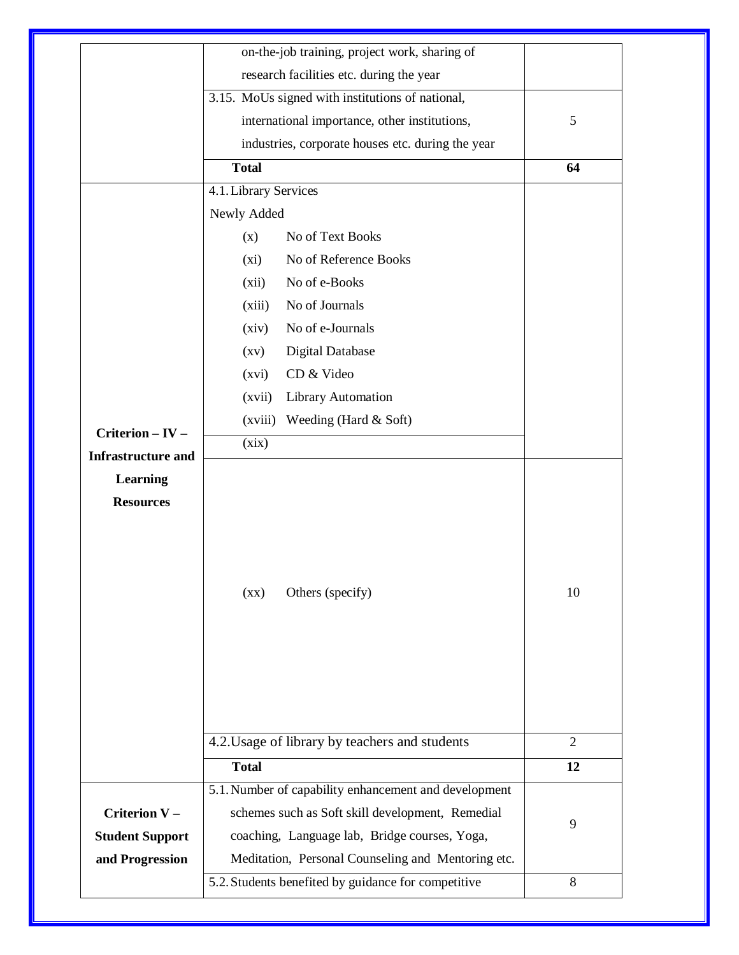|                                               | on-the-job training, project work, sharing of         |                |  |
|-----------------------------------------------|-------------------------------------------------------|----------------|--|
|                                               | research facilities etc. during the year              |                |  |
|                                               | 3.15. MoUs signed with institutions of national,      |                |  |
|                                               | international importance, other institutions,         | 5              |  |
|                                               | industries, corporate houses etc. during the year     |                |  |
|                                               | <b>Total</b>                                          | 64             |  |
|                                               | 4.1. Library Services                                 |                |  |
|                                               | Newly Added                                           |                |  |
|                                               | No of Text Books<br>(x)                               |                |  |
|                                               | No of Reference Books<br>(xi)                         |                |  |
|                                               | No of e-Books<br>(xii)                                |                |  |
|                                               | No of Journals<br>(xiii)                              |                |  |
|                                               | No of e-Journals<br>(xiv)                             |                |  |
|                                               | <b>Digital Database</b><br>$\left( xy\right)$         |                |  |
|                                               | CD & Video<br>(xvi)                                   |                |  |
|                                               | Library Automation<br>(xvii)                          |                |  |
|                                               | Weeding (Hard & Soft)<br>(xviii)                      |                |  |
| Criterion - IV -<br><b>Infrastructure and</b> | (xix)                                                 |                |  |
| <b>Learning</b><br><b>Resources</b>           | Others (specify)<br>$\left( xx\right)$                | 10             |  |
|                                               | 4.2. Usage of library by teachers and students        | $\overline{2}$ |  |
|                                               | <b>Total</b>                                          | 12             |  |
|                                               | 5.1. Number of capability enhancement and development |                |  |
|                                               |                                                       |                |  |
| Criterion V -                                 | schemes such as Soft skill development, Remedial      |                |  |
| <b>Student Support</b>                        | coaching, Language lab, Bridge courses, Yoga,         | 9              |  |
| and Progression                               | Meditation, Personal Counseling and Mentoring etc.    |                |  |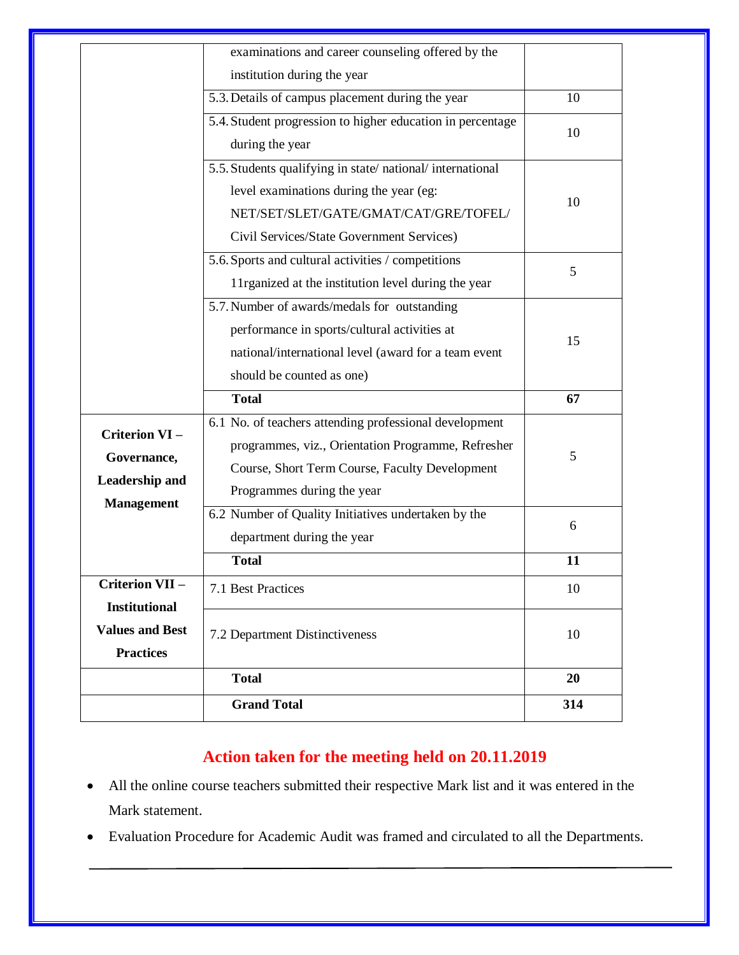|                                                | <b>Grand Total</b>                                                                                             | 314 |  |
|------------------------------------------------|----------------------------------------------------------------------------------------------------------------|-----|--|
|                                                | <b>Total</b>                                                                                                   | 20  |  |
| <b>Values and Best</b><br><b>Practices</b>     | 7.2 Department Distinctiveness                                                                                 | 10  |  |
| <b>Criterion VII -</b><br><b>Institutional</b> | 7.1 Best Practices                                                                                             | 10  |  |
|                                                | <b>Total</b>                                                                                                   | 11  |  |
|                                                | department during the year                                                                                     |     |  |
|                                                | 6.2 Number of Quality Initiatives undertaken by the                                                            | 6   |  |
| <b>Leadership and</b><br><b>Management</b>     | Programmes during the year                                                                                     |     |  |
| Governance,                                    | Course, Short Term Course, Faculty Development                                                                 | 5   |  |
| Criterion VI-                                  | programmes, viz., Orientation Programme, Refresher                                                             |     |  |
|                                                | 6.1 No. of teachers attending professional development                                                         |     |  |
|                                                | <b>Total</b>                                                                                                   | 67  |  |
|                                                | should be counted as one)                                                                                      |     |  |
|                                                | national/international level (award for a team event                                                           | 15  |  |
|                                                | performance in sports/cultural activities at                                                                   |     |  |
|                                                | 5.7. Number of awards/medals for outstanding                                                                   |     |  |
|                                                | 11 rganized at the institution level during the year                                                           | 5   |  |
|                                                | 5.6. Sports and cultural activities / competitions                                                             | 10  |  |
|                                                | Civil Services/State Government Services)                                                                      |     |  |
|                                                | NET/SET/SLET/GATE/GMAT/CAT/GRE/TOFEL/                                                                          |     |  |
|                                                | level examinations during the year (eg:                                                                        |     |  |
|                                                | 5.5. Students qualifying in state/national/international                                                       |     |  |
|                                                | during the year                                                                                                | 10  |  |
|                                                | 5.3. Details of campus placement during the year<br>5.4. Student progression to higher education in percentage | 10  |  |
|                                                | institution during the year                                                                                    |     |  |
|                                                |                                                                                                                |     |  |

# **Action taken for the meeting held on 20.11.2019**

- All the online course teachers submitted their respective Mark list and it was entered in the Mark statement.
- Evaluation Procedure for Academic Audit was framed and circulated to all the Departments.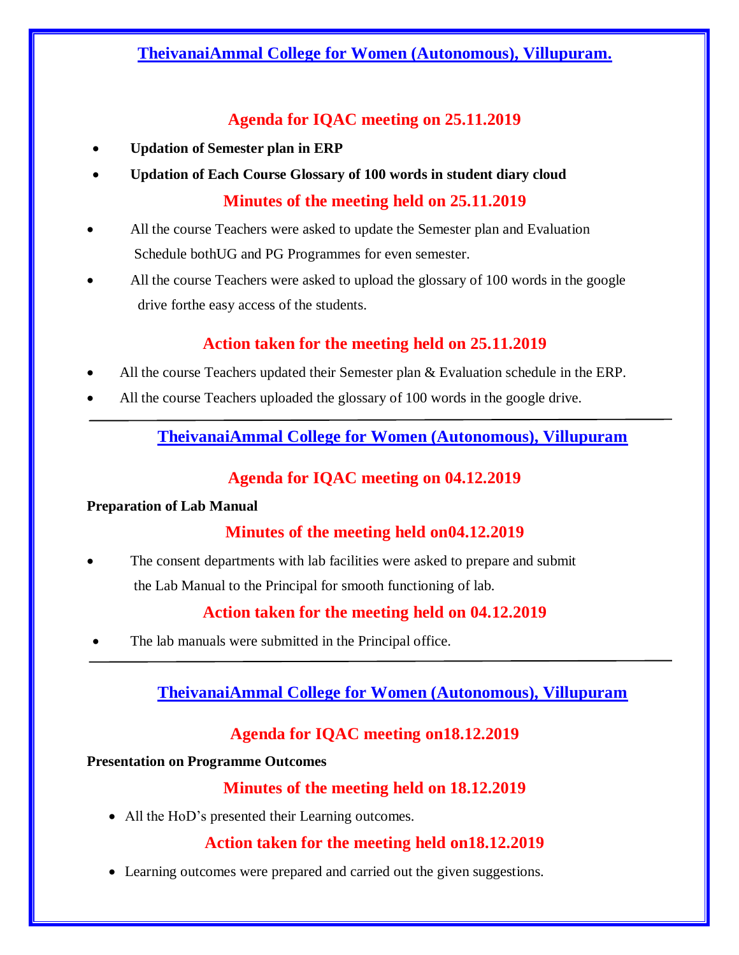# **TheivanaiAmmal College for Women (Autonomous), Villupuram.**

# **Agenda for IQAC meeting on 25.11.2019**

- **Updation of Semester plan in ERP**
- **Updation of Each Course Glossary of 100 words in student diary cloud Minutes of the meeting held on 25.11.2019**
- All the course Teachers were asked to update the Semester plan and Evaluation Schedule bothUG and PG Programmes for even semester.
- All the course Teachers were asked to upload the glossary of 100 words in the google drive forthe easy access of the students.

# **Action taken for the meeting held on 25.11.2019**

- All the course Teachers updated their Semester plan & Evaluation schedule in the ERP.
- All the course Teachers uploaded the glossary of 100 words in the google drive.

# **TheivanaiAmmal College for Women (Autonomous), Villupuram**

# **Agenda for IQAC meeting on 04.12.2019**

#### **Preparation of Lab Manual**

# **Minutes of the meeting held on04.12.2019**

 The consent departments with lab facilities were asked to prepare and submit the Lab Manual to the Principal for smooth functioning of lab.

# **Action taken for the meeting held on 04.12.2019**

The lab manuals were submitted in the Principal office.

# **TheivanaiAmmal College for Women (Autonomous), Villupuram**

# **Agenda for IQAC meeting on18.12.2019**

#### **Presentation on Programme Outcomes**

# **Minutes of the meeting held on 18.12.2019**

• All the HoD's presented their Learning outcomes.

# **Action taken for the meeting held on18.12.2019**

Learning outcomes were prepared and carried out the given suggestions.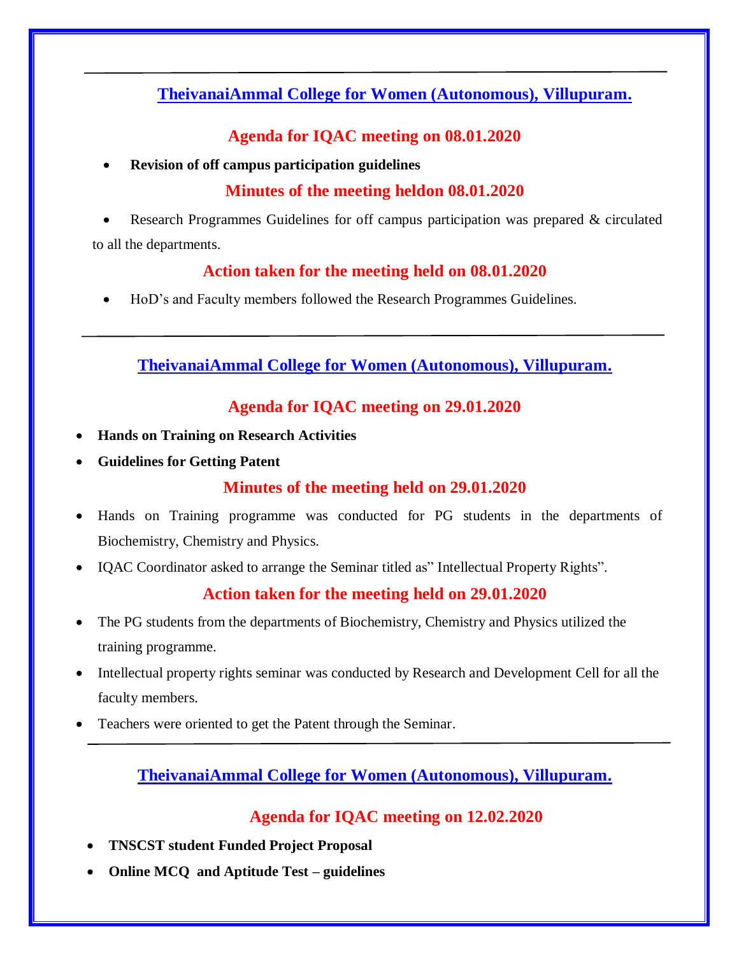# **TheivanaiAmmal College for Women (Autonomous), Villupuram.**

### **Agenda for IQAC meeting on 08.01.2020**

**Revision of off campus participation guidelines**

# **Minutes of the meeting heldon 08.01.2020**

 Research Programmes Guidelines for off campus participation was prepared & circulated to all the departments.

## **Action taken for the meeting held on 08.01.2020**

HoD's and Faculty members followed the Research Programmes Guidelines.

**TheivanaiAmmal College for Women (Autonomous), Villupuram.**

# **Agenda for IQAC meeting on 29.01.2020**

- **Hands on Training on Research Activities**
- **Guidelines for Getting Patent**

### **Minutes of the meeting held on 29.01.2020**

- Hands on Training programme was conducted for PG students in the departments of Biochemistry, Chemistry and Physics.
- IQAC Coordinator asked to arrange the Seminar titled as" Intellectual Property Rights".

### **Action taken for the meeting held on 29.01.2020**

- The PG students from the departments of Biochemistry, Chemistry and Physics utilized the training programme.
- Intellectual property rights seminar was conducted by Research and Development Cell for all the faculty members.
- Teachers were oriented to get the Patent through the Seminar.

# **TheivanaiAmmal College for Women (Autonomous), Villupuram.**

### **Agenda for IQAC meeting on 12.02.2020**

- **TNSCST student Funded Project Proposal**
- **Online MCQ and Aptitude Test – guidelines**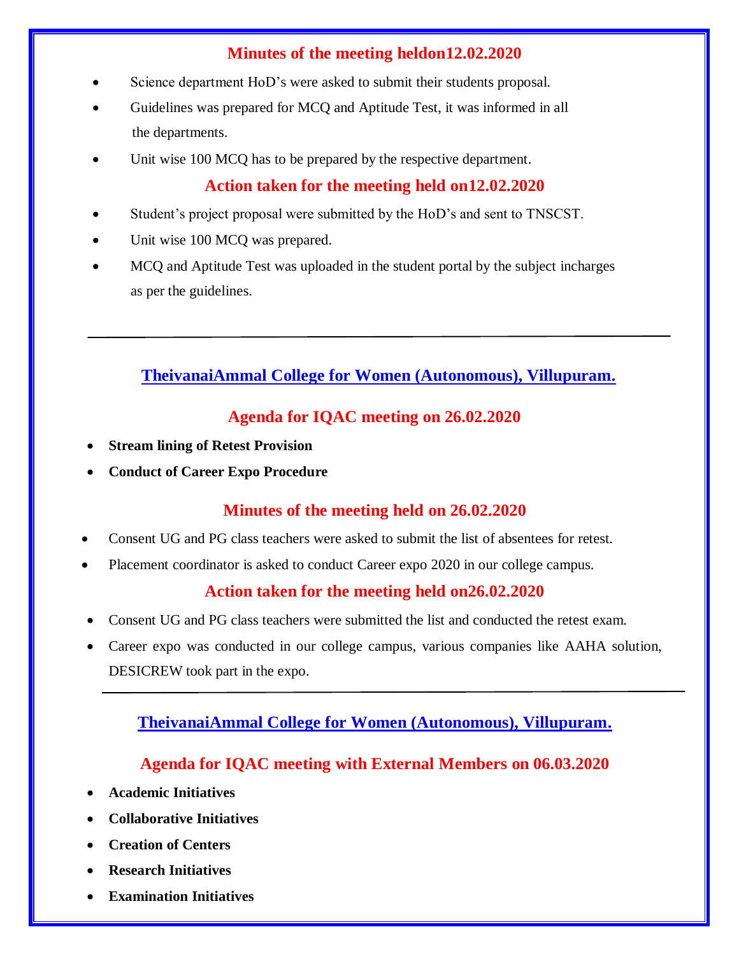# **Minutes of the meeting heldon12.02.2020**

- Science department HoD's were asked to submit their students proposal.
- Guidelines was prepared for MCQ and Aptitude Test, it was informed in all the departments.
- Unit wise 100 MCQ has to be prepared by the respective department.

### **Action taken for the meeting held on12.02.2020**

- Student's project proposal were submitted by the HoD's and sent to TNSCST.
- Unit wise 100 MCQ was prepared.
- MCQ and Aptitude Test was uploaded in the student portal by the subject incharges as per the guidelines.

# **TheivanaiAmmal College for Women (Autonomous), Villupuram.**

# **Agenda for IQAC meeting on 26.02.2020**

- **Stream lining of Retest Provision**
- **Conduct of Career Expo Procedure**

# **Minutes of the meeting held on 26.02.2020**

- Consent UG and PG class teachers were asked to submit the list of absentees for retest.
- Placement coordinator is asked to conduct Career expo 2020 in our college campus.

### **Action taken for the meeting held on26.02.2020**

- Consent UG and PG class teachers were submitted the list and conducted the retest exam.
- Career expo was conducted in our college campus, various companies like AAHA solution, DESICREW took part in the expo.

# **TheivanaiAmmal College for Women (Autonomous), Villupuram.**

### **Agenda for IQAC meeting with External Members on 06.03.2020**

- **Academic Initiatives**
- **Collaborative Initiatives**
- **Creation of Centers**
- **Research Initiatives**
- **Examination Initiatives**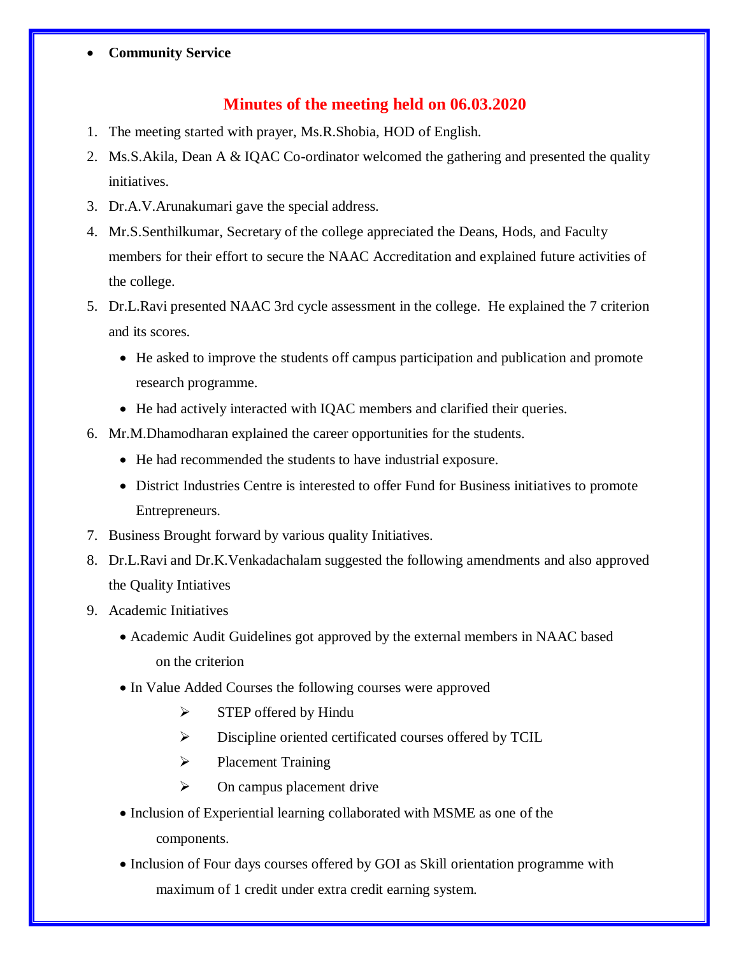#### **Community Service**

### **Minutes of the meeting held on 06.03.2020**

- 1. The meeting started with prayer, Ms.R.Shobia, HOD of English.
- 2. Ms.S.Akila, Dean A & IQAC Co-ordinator welcomed the gathering and presented the quality initiatives.
- 3. Dr.A.V.Arunakumari gave the special address.
- 4. Mr.S.Senthilkumar, Secretary of the college appreciated the Deans, Hods, and Faculty members for their effort to secure the NAAC Accreditation and explained future activities of the college.
- 5. Dr.L.Ravi presented NAAC 3rd cycle assessment in the college. He explained the 7 criterion and its scores.
	- He asked to improve the students off campus participation and publication and promote research programme.
	- He had actively interacted with IQAC members and clarified their queries.
- 6. Mr.M.Dhamodharan explained the career opportunities for the students.
	- He had recommended the students to have industrial exposure.
	- District Industries Centre is interested to offer Fund for Business initiatives to promote Entrepreneurs.
- 7. Business Brought forward by various quality Initiatives.
- 8. Dr.L.Ravi and Dr.K.Venkadachalam suggested the following amendments and also approved the Quality Intiatives
- 9. Academic Initiatives
	- Academic Audit Guidelines got approved by the external members in NAAC based on the criterion
	- In Value Added Courses the following courses were approved
		- $\triangleright$  STEP offered by Hindu
		- Discipline oriented certificated courses offered by TCIL
		- $\triangleright$  Placement Training
		- $\triangleright$  On campus placement drive
	- Inclusion of Experiential learning collaborated with MSME as one of the components.
	- Inclusion of Four days courses offered by GOI as Skill orientation programme with maximum of 1 credit under extra credit earning system.